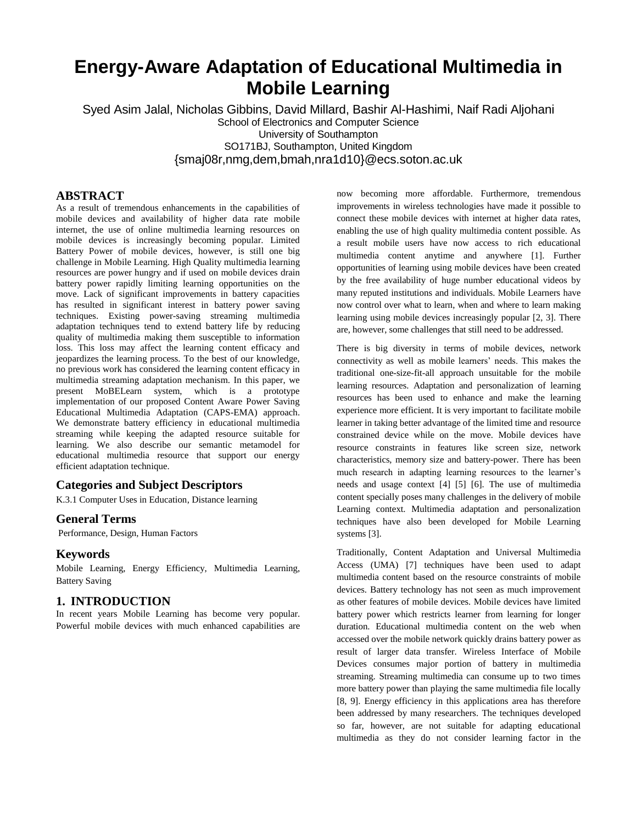# **Energy-Aware Adaptation of Educational Multimedia in Mobile Learning**

Syed Asim Jalal, Nicholas Gibbins, David Millard, Bashir Al-Hashimi, Naif Radi Aljohani School of Electronics and Computer Science University of Southampton SO171BJ, Southampton, United Kingdom {smaj08r,nmg,dem,bmah,nra1d10}@ecs.soton.ac.uk

## **ABSTRACT**

As a result of tremendous enhancements in the capabilities of mobile devices and availability of higher data rate mobile internet, the use of online multimedia learning resources on mobile devices is increasingly becoming popular. Limited Battery Power of mobile devices, however, is still one big challenge in Mobile Learning. High Quality multimedia learning resources are power hungry and if used on mobile devices drain battery power rapidly limiting learning opportunities on the move. Lack of significant improvements in battery capacities has resulted in significant interest in battery power saving techniques. Existing power-saving streaming multimedia adaptation techniques tend to extend battery life by reducing quality of multimedia making them susceptible to information loss. This loss may affect the learning content efficacy and jeopardizes the learning process. To the best of our knowledge, no previous work has considered the learning content efficacy in multimedia streaming adaptation mechanism. In this paper, we present MoBELearn system, which is a prototype implementation of our proposed Content Aware Power Saving Educational Multimedia Adaptation (CAPS-EMA) approach. We demonstrate battery efficiency in educational multimedia streaming while keeping the adapted resource suitable for learning. We also describe our semantic metamodel for educational multimedia resource that support our energy efficient adaptation technique.

#### **Categories and Subject Descriptors**

K.3.1 Computer Uses in Education, Distance learning

#### **General Terms**

Performance, Design, Human Factors

#### **Keywords**

Mobile Learning, Energy Efficiency, Multimedia Learning, Battery Saving

#### **1. INTRODUCTION**

In recent years Mobile Learning has become very popular. Powerful mobile devices with much enhanced capabilities are now becoming more affordable. Furthermore, tremendous improvements in wireless technologies have made it possible to connect these mobile devices with internet at higher data rates, enabling the use of high quality multimedia content possible. As a result mobile users have now access to rich educational multimedia content anytime and anywhere [\[1\]](#page-4-0). Further opportunities of learning using mobile devices have been created by the free availability of huge number educational videos by many reputed institutions and individuals. Mobile Learners have now control over what to learn, when and where to learn making learning using mobile devices increasingly popular [\[2,](#page-4-1) [3\]](#page-4-2). There are, however, some challenges that still need to be addressed.

There is big diversity in terms of mobile devices, network connectivity as well as mobile learners' needs. This makes the traditional one-size-fit-all approach unsuitable for the mobile learning resources. Adaptation and personalization of learning resources has been used to enhance and make the learning experience more efficient. It is very important to facilitate mobile learner in taking better advantage of the limited time and resource constrained device while on the move. Mobile devices have resource constraints in features like screen size, network characteristics, memory size and battery-power. There has been much research in adapting learning resources to the learner's needs and usage context [\[4\]](#page-4-3) [\[5\]](#page-5-0) [\[6\]](#page-5-1). The use of multimedia content specially poses many challenges in the delivery of mobile Learning context. Multimedia adaptation and personalization techniques have also been developed for Mobile Learning systems [\[3\]](#page-4-2).

Traditionally, Content Adaptation and Universal Multimedia Access (UMA) [\[7\]](#page-5-2) techniques have been used to adapt multimedia content based on the resource constraints of mobile devices. Battery technology has not seen as much improvement as other features of mobile devices. Mobile devices have limited battery power which restricts learner from learning for longer duration. Educational multimedia content on the web when accessed over the mobile network quickly drains battery power as result of larger data transfer. Wireless Interface of Mobile Devices consumes major portion of battery in multimedia streaming. Streaming multimedia can consume up to two times more battery power than playing the same multimedia file locally [\[8,](#page-5-3) [9\]](#page-5-4). Energy efficiency in this applications area has therefore been addressed by many researchers. The techniques developed so far, however, are not suitable for adapting educational multimedia as they do not consider learning factor in the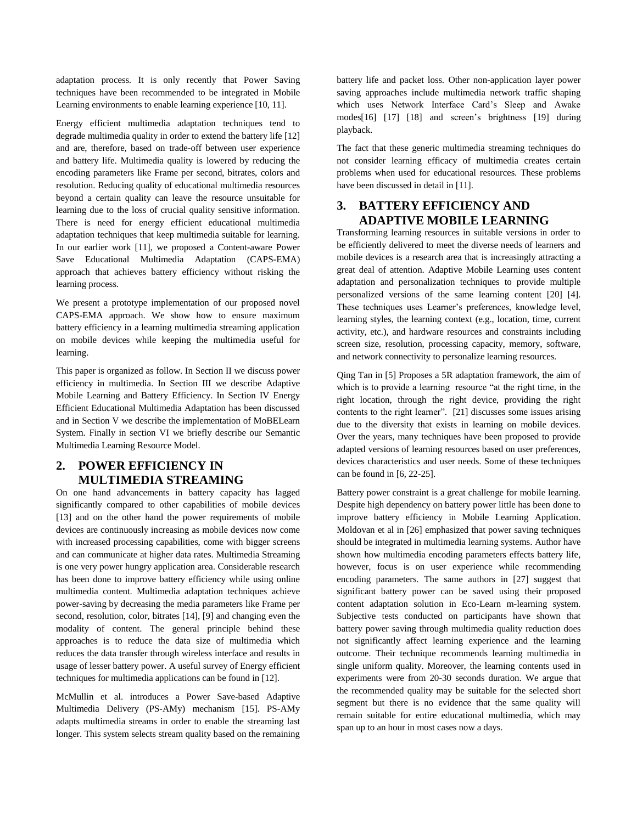adaptation process. It is only recently that Power Saving techniques have been recommended to be integrated in Mobile Learning environments to enable learning experience [\[10,](#page-5-5) [11\]](#page-5-6).

Energy efficient multimedia adaptation techniques tend to degrade multimedia quality in order to extend the battery life [\[12\]](#page-5-7) and are, therefore, based on trade-off between user experience and battery life. Multimedia quality is lowered by reducing the encoding parameters like Frame per second, bitrates, colors and resolution. Reducing quality of educational multimedia resources beyond a certain quality can leave the resource unsuitable for learning due to the loss of crucial quality sensitive information. There is need for energy efficient educational multimedia adaptation techniques that keep multimedia suitable for learning. In our earlier work [\[11\]](#page-5-6), we proposed a Content-aware Power Save Educational Multimedia Adaptation (CAPS-EMA) approach that achieves battery efficiency without risking the learning process.

We present a prototype implementation of our proposed novel CAPS-EMA approach. We show how to ensure maximum battery efficiency in a learning multimedia streaming application on mobile devices while keeping the multimedia useful for learning.

This paper is organized as follow. In Section II we discuss power efficiency in multimedia. In Section III we describe Adaptive Mobile Learning and Battery Efficiency. In Section IV Energy Efficient Educational Multimedia Adaptation has been discussed and in Section V we describe the implementation of MoBELearn System. Finally in section VI we briefly describe our Semantic Multimedia Learning Resource Model.

## **2. POWER EFFICIENCY IN MULTIMEDIA STREAMING**

On one hand advancements in battery capacity has lagged significantly compared to other capabilities of mobile devices [\[13\]](#page-5-8) and on the other hand the power requirements of mobile devices are continuously increasing as mobile devices now come with increased processing capabilities, come with bigger screens and can communicate at higher data rates. Multimedia Streaming is one very power hungry application area. Considerable research has been done to improve battery efficiency while using online multimedia content. Multimedia adaptation techniques achieve power-saving by decreasing the media parameters like Frame per second, resolution, color, bitrates [\[14\]](#page-5-9), [\[9\]](#page-5-4) and changing even the modality of content. The general principle behind these approaches is to reduce the data size of multimedia which reduces the data transfer through wireless interface and results in usage of lesser battery power. A useful survey of Energy efficient techniques for multimedia applications can be found in [\[12\]](#page-5-7).

McMullin et al. introduces a Power Save-based Adaptive Multimedia Delivery (PS-AMy) mechanism [\[15\]](#page-5-10). PS-AMy adapts multimedia streams in order to enable the streaming last longer. This system selects stream quality based on the remaining

battery life and packet loss. Other non-application layer power saving approaches include multimedia network traffic shaping which uses Network Interface Card's Sleep and Awake modes[\[16\]](#page-5-11) [\[17\]](#page-5-12) [\[18\]](#page-5-13) and screen's brightness [\[19\]](#page-5-14) during playback.

The fact that these generic multimedia streaming techniques do not consider learning efficacy of multimedia creates certain problems when used for educational resources. These problems have been discussed in detail in [\[11\]](#page-5-6).

## **3. BATTERY EFFICIENCY AND ADAPTIVE MOBILE LEARNING**

Transforming learning resources in suitable versions in order to be efficiently delivered to meet the diverse needs of learners and mobile devices is a research area that is increasingly attracting a great deal of attention. Adaptive Mobile Learning uses content adaptation and personalization techniques to provide multiple personalized versions of the same learning content [\[20\]](#page-5-15) [\[4\]](#page-4-3). These techniques uses Learner's preferences, knowledge level, learning styles, the learning context (e.g., location, time, current activity, etc.), and hardware resources and constraints including screen size, resolution, processing capacity, memory, software, and network connectivity to personalize learning resources.

Qing Tan in [\[5\]](#page-5-0) Proposes a 5R adaptation framework, the aim of which is to provide a learning resource "at the right time, in the right location, through the right device, providing the right contents to the right learner". [\[21\]](#page-5-16) discusses some issues arising due to the diversity that exists in learning on mobile devices. Over the years, many techniques have been proposed to provide adapted versions of learning resources based on user preferences, devices characteristics and user needs. Some of these techniques can be found in [\[6,](#page-5-1) [22-25\]](#page-5-17).

Battery power constraint is a great challenge for mobile learning. Despite high dependency on battery power little has been done to improve battery efficiency in Mobile Learning Application. Moldovan et al in [\[26\]](#page-5-18) emphasized that power saving techniques should be integrated in multimedia learning systems. Author have shown how multimedia encoding parameters effects battery life, however, focus is on user experience while recommending encoding parameters. The same authors in [\[27\]](#page-5-19) suggest that significant battery power can be saved using their proposed content adaptation solution in Eco-Learn m-learning system. Subjective tests conducted on participants have shown that battery power saving through multimedia quality reduction does not significantly affect learning experience and the learning outcome. Their technique recommends learning multimedia in single uniform quality. Moreover, the learning contents used in experiments were from 20-30 seconds duration. We argue that the recommended quality may be suitable for the selected short segment but there is no evidence that the same quality will remain suitable for entire educational multimedia, which may span up to an hour in most cases now a days.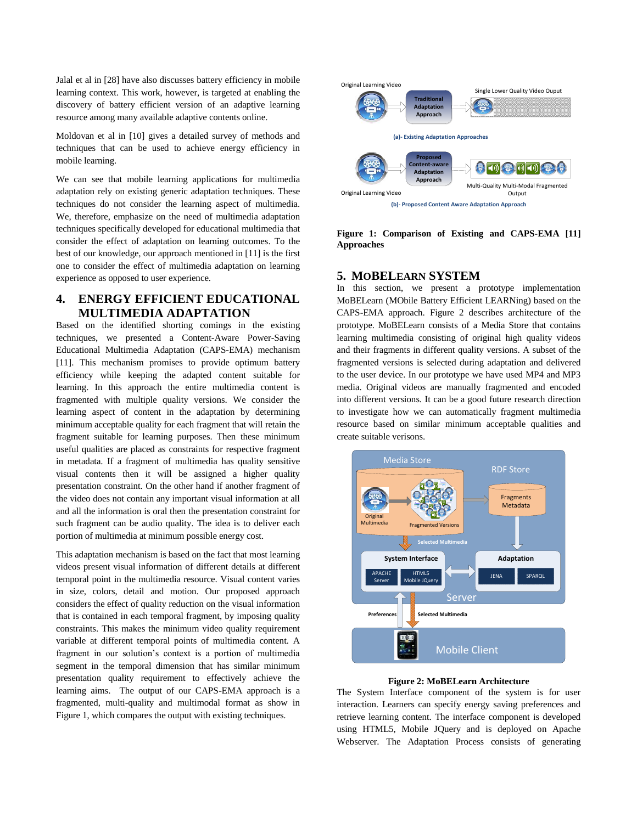Jalal et al in [\[28\]](#page-5-20) have also discusses battery efficiency in mobile learning context. This work, however, is targeted at enabling the discovery of battery efficient version of an adaptive learning resource among many available adaptive contents online.

Moldovan et al in [\[10\]](#page-5-5) gives a detailed survey of methods and techniques that can be used to achieve energy efficiency in mobile learning.

We can see that mobile learning applications for multimedia adaptation rely on existing generic adaptation techniques. These techniques do not consider the learning aspect of multimedia. We, therefore, emphasize on the need of multimedia adaptation techniques specifically developed for educational multimedia that consider the effect of adaptation on learning outcomes. To the best of our knowledge, our approach mentioned in [\[11\]](#page-5-6) is the first one to consider the effect of multimedia adaptation on learning experience as opposed to user experience.

### **4. ENERGY EFFICIENT EDUCATIONAL MULTIMEDIA ADAPTATION**

Based on the identified shorting comings in the existing techniques, we presented a Content-Aware Power-Saving Educational Multimedia Adaptation (CAPS-EMA) mechanism [\[11\]](#page-5-6). This mechanism promises to provide optimum battery efficiency while keeping the adapted content suitable for learning. In this approach the entire multimedia content is fragmented with multiple quality versions. We consider the learning aspect of content in the adaptation by determining minimum acceptable quality for each fragment that will retain the fragment suitable for learning purposes. Then these minimum useful qualities are placed as constraints for respective fragment in metadata. If a fragment of multimedia has quality sensitive visual contents then it will be assigned a higher quality presentation constraint. On the other hand if another fragment of the video does not contain any important visual information at all and all the information is oral then the presentation constraint for such fragment can be audio quality. The idea is to deliver each portion of multimedia at minimum possible energy cost.

This adaptation mechanism is based on the fact that most learning videos present visual information of different details at different temporal point in the multimedia resource. Visual content varies in size, colors, detail and motion. Our proposed approach considers the effect of quality reduction on the visual information that is contained in each temporal fragment, by imposing quality constraints. This makes the minimum video quality requirement variable at different temporal points of multimedia content. A fragment in our solution's context is a portion of multimedia segment in the temporal dimension that has similar minimum presentation quality requirement to effectively achieve the learning aims. The output of our CAPS-EMA approach is a fragmented, multi-quality and multimodal format as show in Figure 1, which compares the output with existing techniques.



**Figure 1: Comparison of Existing and CAPS-EMA [\[11\]](#page-5-6) Approaches**

#### **5. MOBELEARN SYSTEM**

In this section, we present a prototype implementation MoBELearn (MObile Battery Efficient LEARNing) based on the CAPS-EMA approach. Figure 2 describes architecture of the prototype. MoBELearn consists of a Media Store that contains learning multimedia consisting of original high quality videos and their fragments in different quality versions. A subset of the fragmented versions is selected during adaptation and delivered to the user device. In our prototype we have used MP4 and MP3 media. Original videos are manually fragmented and encoded into different versions. It can be a good future research direction to investigate how we can automatically fragment multimedia resource based on similar minimum acceptable qualities and create suitable verisons.



#### **Figure 2: MoBELearn Architecture**

The System Interface component of the system is for user interaction. Learners can specify energy saving preferences and retrieve learning content. The interface component is developed using HTML5, Mobile JQuery and is deployed on Apache Webserver. The Adaptation Process consists of generating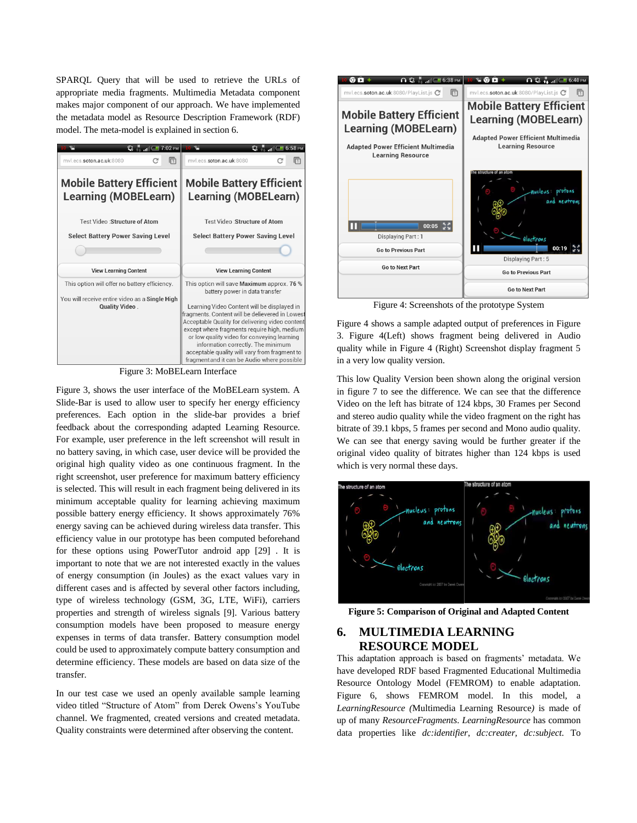SPARQL Query that will be used to retrieve the URLs of appropriate media fragments. Multimedia Metadata component makes major component of our approach. We have implemented the metadata model as Resource Description Framework (RDF) model. The meta-model is explained in section 6.

| $\mathbb{Z}$ $\mathbb{H}$ $\mathbb{H}$ $\mathbb{Z}$ 7:02 PM<br>v.<br>冋<br>myl.ecs.soton.ac.uk:8080<br>C                   | $\mathbb{Z}$ $\blacksquare$ 6:58 PM<br>₩<br>myl.ecs.soton.ac.uk:8080<br>$\overline{\mathbb{E}}$                                                                                                                                                                                                                                                                                                                                                                       |
|---------------------------------------------------------------------------------------------------------------------------|-----------------------------------------------------------------------------------------------------------------------------------------------------------------------------------------------------------------------------------------------------------------------------------------------------------------------------------------------------------------------------------------------------------------------------------------------------------------------|
| <b>Mobile Battery Efficient</b><br><b>Learning (MOBELearn)</b>                                                            | <b>Mobile Battery Efficient</b><br><b>Learning (MOBELearn)</b>                                                                                                                                                                                                                                                                                                                                                                                                        |
| Test Video: Structure of Atom                                                                                             | Test Video: Structure of Atom                                                                                                                                                                                                                                                                                                                                                                                                                                         |
| <b>Select Battery Power Saving Level</b>                                                                                  | <b>Select Battery Power Saving Level</b>                                                                                                                                                                                                                                                                                                                                                                                                                              |
|                                                                                                                           |                                                                                                                                                                                                                                                                                                                                                                                                                                                                       |
| <b>View Learning Content</b>                                                                                              | <b>View Learning Content</b>                                                                                                                                                                                                                                                                                                                                                                                                                                          |
| This option will offer no battery efficiency.<br>You will receive entire video as a Single High<br><b>Quality Video</b> . | This option will save Maximum approx. 76 %<br>battery power in data transfer<br>Learning Video Content will be displayed in<br>fragments. Content will be delievered in Lowest<br>Acceptable Quality for delivering video content<br>except where fragments require high, medium<br>or low quality video for conveying learning<br>information correctly. The minimum<br>acceptable quality will vary from fragment to<br>fragment and it can be Audio where possible |

Figure 3: MoBELearn Interface

Figure 3, shows the user interface of the MoBELearn system. A Slide-Bar is used to allow user to specify her energy efficiency preferences. Each option in the slide-bar provides a brief feedback about the corresponding adapted Learning Resource. For example, user preference in the left screenshot will result in no battery saving, in which case, user device will be provided the original high quality video as one continuous fragment. In the right screenshot, user preference for maximum battery efficiency is selected. This will result in each fragment being delivered in its minimum acceptable quality for learning achieving maximum possible battery energy efficiency. It shows approximately 76% energy saving can be achieved during wireless data transfer. This efficiency value in our prototype has been computed beforehand for these options using PowerTutor android app [\[29\]](#page-5-21) . It is important to note that we are not interested exactly in the values of energy consumption (in Joules) as the exact values vary in different cases and is affected by several other factors including, type of wireless technology (GSM, 3G, LTE, WiFi), carriers properties and strength of wireless signals [\[9\]](#page-5-4). Various battery consumption models have been proposed to measure energy expenses in terms of data transfer. Battery consumption model could be used to approximately compute battery consumption and determine efficiency. These models are based on data size of the transfer.

In our test case we used an openly available sample learning video titled "Structure of Atom" from Derek Owens's YouTube channel. We fragmented, created versions and created metadata. Quality constraints were determined after observing the content.



Figure 4: Screenshots of the prototype System

Figure 4 shows a sample adapted output of preferences in Figure 3. Figure 4(Left) shows fragment being delivered in Audio quality while in Figure 4 (Right) Screenshot display fragment 5 in a very low quality version.

This low Quality Version been shown along the original version in figure 7 to see the difference. We can see that the difference Video on the left has bitrate of 124 kbps, 30 Frames per Second and stereo audio quality while the video fragment on the right has bitrate of 39.1 kbps, 5 frames per second and Mono audio quality. We can see that energy saving would be further greater if the original video quality of bitrates higher than 124 kbps is used which is very normal these days.



**Figure 5: Comparison of Original and Adapted Content**

# **6. MULTIMEDIA LEARNING RESOURCE MODEL**

This adaptation approach is based on fragments' metadata. We have developed RDF based Fragmented Educational Multimedia Resource Ontology Model (FEMROM) to enable adaptation. Figure 6, shows FEMROM model. In this model, a *LearningResource (*Multimedia Learning Resource*)* is made of up of many *ResourceFragments*. *LearningResource* has common data properties like *dc:identifier*, *dc:creater, dc:subject*. To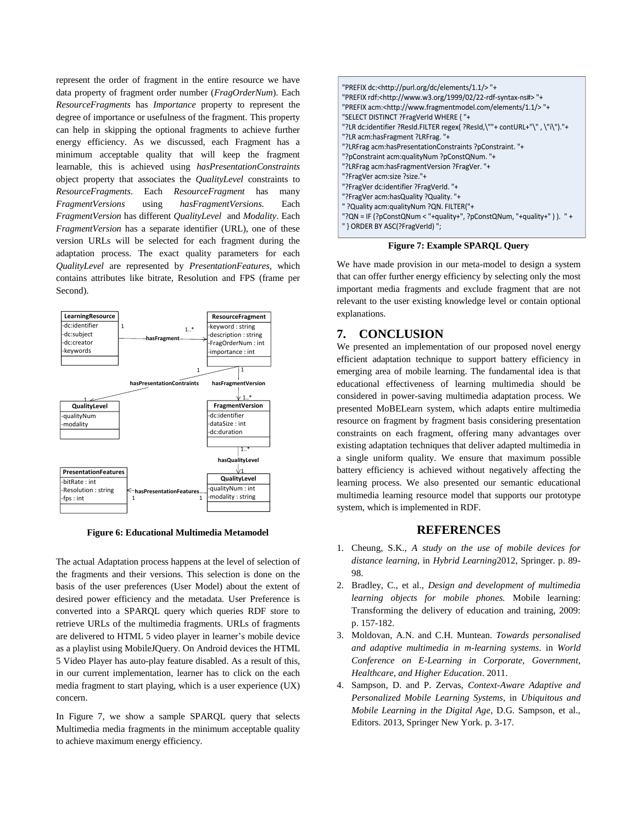represent the order of fragment in the entire resource we have data property of fragment order number (*FragOrderNum*). Each *ResourceFragments* has *Importance* property to represent the degree of importance or usefulness of the fragment. This property can help in skipping the optional fragments to achieve further energy efficiency. As we discussed, each Fragment has a minimum acceptable quality that will keep the fragment learnable, this is achieved using *hasPresentationConstraints* object property that associates the *QualityLevel* constraints to *ResourceFragments*. Each *ResourceFragment* has many *FragmentVersions* using *hasFragmentVersions*. Each *FragmentVersion* has different *QualityLevel* and *Modality*. Each *FragmentVersion* has a separate identifier (URL), one of these version URLs will be selected for each fragment during the adaptation process. The exact quality parameters for each *QualityLevel* are represented by *PresentationFeatures*, which contains attributes like bitrate, Resolution and FPS (frame per Second).



**Figure 6: Educational Multimedia Metamodel**

The actual Adaptation process happens at the level of selection of the fragments and their versions. This selection is done on the basis of the user preferences (User Model) about the extent of desired power efficiency and the metadata. User Preference is converted into a SPARQL query which queries RDF store to retrieve URLs of the multimedia fragments. URLs of fragments are delivered to HTML 5 video player in learner's mobile device as a playlist using MobileJQuery. On Android devices the HTML 5 Video Player has auto-play feature disabled. As a result of this, in our current implementation, learner has to click on the each media fragment to start playing, which is a user experience (UX) concern.

In Figure 7, we show a sample SPARQL query that selects Multimedia media fragments in the minimum acceptable quality to achieve maximum energy efficiency.

| "PREFIX dc: <http: 1.1="" dc="" elements="" purl.org=""></http:> "+<br>"PREFIX rdf: <http: 02="" 1999="" 22-rdf-syntax-ns#="" www.w3.org=""> "+</http:> |
|---------------------------------------------------------------------------------------------------------------------------------------------------------|
| "PREFIX acm: <http: 1.1="" elements="" www.fragmentmodel.com=""></http:> "+                                                                             |
| "SELECT DISTINCT ?FragVerId WHERE { "+                                                                                                                  |
| "?LR dc:identifier ?ResId.FILTER regex( ?ResId,\""+ contURL+"\", \"i\")."+                                                                              |
| "?LR acm:hasFragment ?LRFrag. "+                                                                                                                        |
| "?LRFrag acm:hasPresentationConstraints ?pConstraint."+                                                                                                 |
| "?pConstraint acm:qualityNum ?pConstQNum. "+                                                                                                            |
| "?LRFrag acm:hasFragmentVersion ?FragVer. "+                                                                                                            |
| "?FragVer acm:size ?size."+                                                                                                                             |
| "?FragVer dc:identifier ?FragVerId. "+                                                                                                                  |
| "?FragVer acm:hasQuality ?Quality. "+                                                                                                                   |
| " ?Quality acm:qualityNum ?QN. FILTER("+                                                                                                                |
| "?QN = IF (?pConstQNum < "+quality+", ?pConstQNum, "+quality+")). " +                                                                                   |
| " } ORDER BY ASC(?FragVerId) ";                                                                                                                         |

**Figure 7: Example SPARQL Query**

We have made provision in our meta-model to design a system that can offer further energy efficiency by selecting only the most important media fragments and exclude fragment that are not relevant to the user existing knowledge level or contain optional explanations.

# **7. CONCLUSION**

We presented an implementation of our proposed novel energy efficient adaptation technique to support battery efficiency in emerging area of mobile learning. The fundamental idea is that educational effectiveness of learning multimedia should be considered in power-saving multimedia adaptation process. We presented MoBELearn system, which adapts entire multimedia resource on fragment by fragment basis considering presentation constraints on each fragment, offering many advantages over existing adaptation techniques that deliver adapted multimedia in a single uniform quality. We ensure that maximum possible battery efficiency is achieved without negatively affecting the learning process. We also presented our semantic educational multimedia learning resource model that supports our prototype system, which is implemented in RDF.

## **REFERENCES**

- <span id="page-4-0"></span>1. Cheung, S.K., *A study on the use of mobile devices for distance learning*, in *Hybrid Learning*2012, Springer. p. 89- 98.
- <span id="page-4-1"></span>2. Bradley, C., et al., *Design and development of multimedia learning objects for mobile phones.* Mobile learning: Transforming the delivery of education and training, 2009: p. 157-182.
- <span id="page-4-2"></span>3. Moldovan, A.N. and C.H. Muntean. *Towards personalised and adaptive multimedia in m-learning systems*. in *World Conference on E-Learning in Corporate, Government, Healthcare, and Higher Education*. 2011.
- <span id="page-4-3"></span>4. Sampson, D. and P. Zervas, *Context-Aware Adaptive and Personalized Mobile Learning Systems*, in *Ubiquitous and Mobile Learning in the Digital Age*, D.G. Sampson, et al., Editors. 2013, Springer New York. p. 3-17.